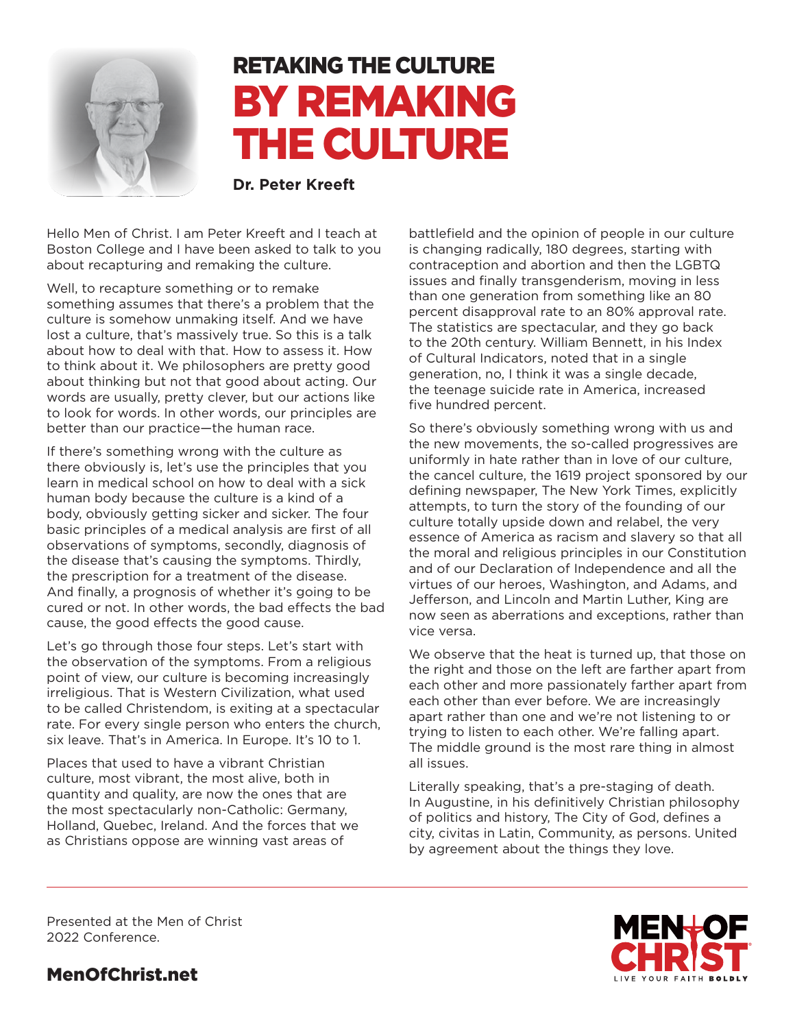

# RETAKING THE CULTURE BY REMAKING THE CULTURE

**Dr. Peter Kreeft**

Hello Men of Christ. I am Peter Kreeft and I teach at Boston College and I have been asked to talk to you about recapturing and remaking the culture.

Well, to recapture something or to remake something assumes that there's a problem that the culture is somehow unmaking itself. And we have lost a culture, that's massively true. So this is a talk about how to deal with that. How to assess it. How to think about it. We philosophers are pretty good about thinking but not that good about acting. Our words are usually, pretty clever, but our actions like to look for words. In other words, our principles are better than our practice—the human race.

If there's something wrong with the culture as there obviously is, let's use the principles that you learn in medical school on how to deal with a sick human body because the culture is a kind of a body, obviously getting sicker and sicker. The four basic principles of a medical analysis are first of all observations of symptoms, secondly, diagnosis of the disease that's causing the symptoms. Thirdly, the prescription for a treatment of the disease. And finally, a prognosis of whether it's going to be cured or not. In other words, the bad effects the bad cause, the good effects the good cause.

Let's go through those four steps. Let's start with the observation of the symptoms. From a religious point of view, our culture is becoming increasingly irreligious. That is Western Civilization, what used to be called Christendom, is exiting at a spectacular rate. For every single person who enters the church, six leave. That's in America. In Europe. It's 10 to 1.

Places that used to have a vibrant Christian culture, most vibrant, the most alive, both in quantity and quality, are now the ones that are the most spectacularly non-Catholic: Germany, Holland, Quebec, Ireland. And the forces that we as Christians oppose are winning vast areas of

battlefield and the opinion of people in our culture is changing radically, 180 degrees, starting with contraception and abortion and then the LGBTQ issues and finally transgenderism, moving in less than one generation from something like an 80 percent disapproval rate to an 80% approval rate. The statistics are spectacular, and they go back to the 20th century. William Bennett, in his Index of Cultural Indicators, noted that in a single generation, no, I think it was a single decade, the teenage suicide rate in America, increased five hundred percent.

So there's obviously something wrong with us and the new movements, the so-called progressives are uniformly in hate rather than in love of our culture, the cancel culture, the 1619 project sponsored by our defining newspaper, The New York Times, explicitly attempts, to turn the story of the founding of our culture totally upside down and relabel, the very essence of America as racism and slavery so that all the moral and religious principles in our Constitution and of our Declaration of Independence and all the virtues of our heroes, Washington, and Adams, and Jefferson, and Lincoln and Martin Luther, King are now seen as aberrations and exceptions, rather than vice versa.

We observe that the heat is turned up, that those on the right and those on the left are farther apart from each other and more passionately farther apart from each other than ever before. We are increasingly apart rather than one and we're not listening to or trying to listen to each other. We're falling apart. The middle ground is the most rare thing in almost all issues.

Literally speaking, that's a pre-staging of death. In Augustine, in his definitively Christian philosophy of politics and history, The City of God, defines a city, civitas in Latin, Community, as persons. United by agreement about the things they love.

Presented at the Men of Christ 2022 Conference.

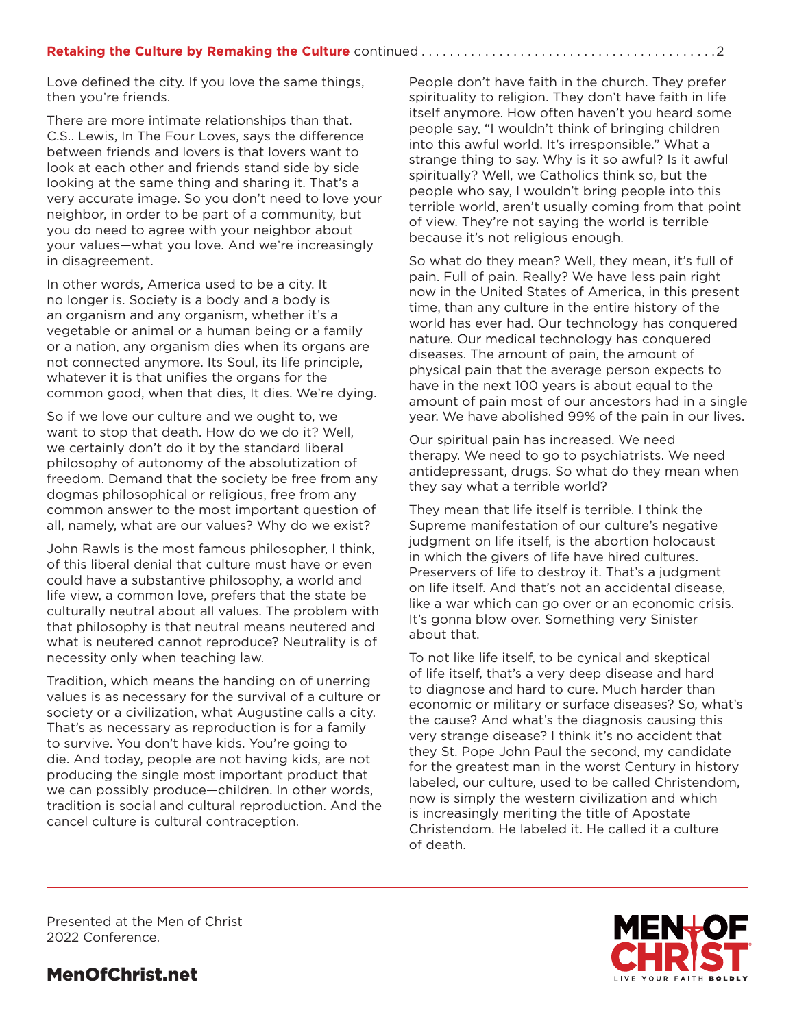Love defined the city. If you love the same things, then you're friends.

There are more intimate relationships than that. C.S.. Lewis, In The Four Loves, says the difference between friends and lovers is that lovers want to look at each other and friends stand side by side looking at the same thing and sharing it. That's a very accurate image. So you don't need to love your neighbor, in order to be part of a community, but you do need to agree with your neighbor about your values—what you love. And we're increasingly in disagreement.

In other words, America used to be a city. It no longer is. Society is a body and a body is an organism and any organism, whether it's a vegetable or animal or a human being or a family or a nation, any organism dies when its organs are not connected anymore. Its Soul, its life principle, whatever it is that unifies the organs for the common good, when that dies, It dies. We're dying.

So if we love our culture and we ought to, we want to stop that death. How do we do it? Well, we certainly don't do it by the standard liberal philosophy of autonomy of the absolutization of freedom. Demand that the society be free from any dogmas philosophical or religious, free from any common answer to the most important question of all, namely, what are our values? Why do we exist?

John Rawls is the most famous philosopher, I think, of this liberal denial that culture must have or even could have a substantive philosophy, a world and life view, a common love, prefers that the state be culturally neutral about all values. The problem with that philosophy is that neutral means neutered and what is neutered cannot reproduce? Neutrality is of necessity only when teaching law.

Tradition, which means the handing on of unerring values is as necessary for the survival of a culture or society or a civilization, what Augustine calls a city. That's as necessary as reproduction is for a family to survive. You don't have kids. You're going to die. And today, people are not having kids, are not producing the single most important product that we can possibly produce—children. In other words, tradition is social and cultural reproduction. And the cancel culture is cultural contraception.

People don't have faith in the church. They prefer spirituality to religion. They don't have faith in life itself anymore. How often haven't you heard some people say, "I wouldn't think of bringing children into this awful world. It's irresponsible." What a strange thing to say. Why is it so awful? Is it awful spiritually? Well, we Catholics think so, but the people who say, I wouldn't bring people into this terrible world, aren't usually coming from that point of view. They're not saying the world is terrible because it's not religious enough.

So what do they mean? Well, they mean, it's full of pain. Full of pain. Really? We have less pain right now in the United States of America, in this present time, than any culture in the entire history of the world has ever had. Our technology has conquered nature. Our medical technology has conquered diseases. The amount of pain, the amount of physical pain that the average person expects to have in the next 100 years is about equal to the amount of pain most of our ancestors had in a single year. We have abolished 99% of the pain in our lives.

Our spiritual pain has increased. We need therapy. We need to go to psychiatrists. We need antidepressant, drugs. So what do they mean when they say what a terrible world?

They mean that life itself is terrible. I think the Supreme manifestation of our culture's negative judgment on life itself, is the abortion holocaust in which the givers of life have hired cultures. Preservers of life to destroy it. That's a judgment on life itself. And that's not an accidental disease, like a war which can go over or an economic crisis. It's gonna blow over. Something very Sinister about that.

To not like life itself, to be cynical and skeptical of life itself, that's a very deep disease and hard to diagnose and hard to cure. Much harder than economic or military or surface diseases? So, what's the cause? And what's the diagnosis causing this very strange disease? I think it's no accident that they St. Pope John Paul the second, my candidate for the greatest man in the worst Century in history labeled, our culture, used to be called Christendom, now is simply the western civilization and which is increasingly meriting the title of Apostate Christendom. He labeled it. He called it a culture of death.

**IVE YOUR FAITH BOLDL** 

Presented at the Men of Christ 2022 Conference.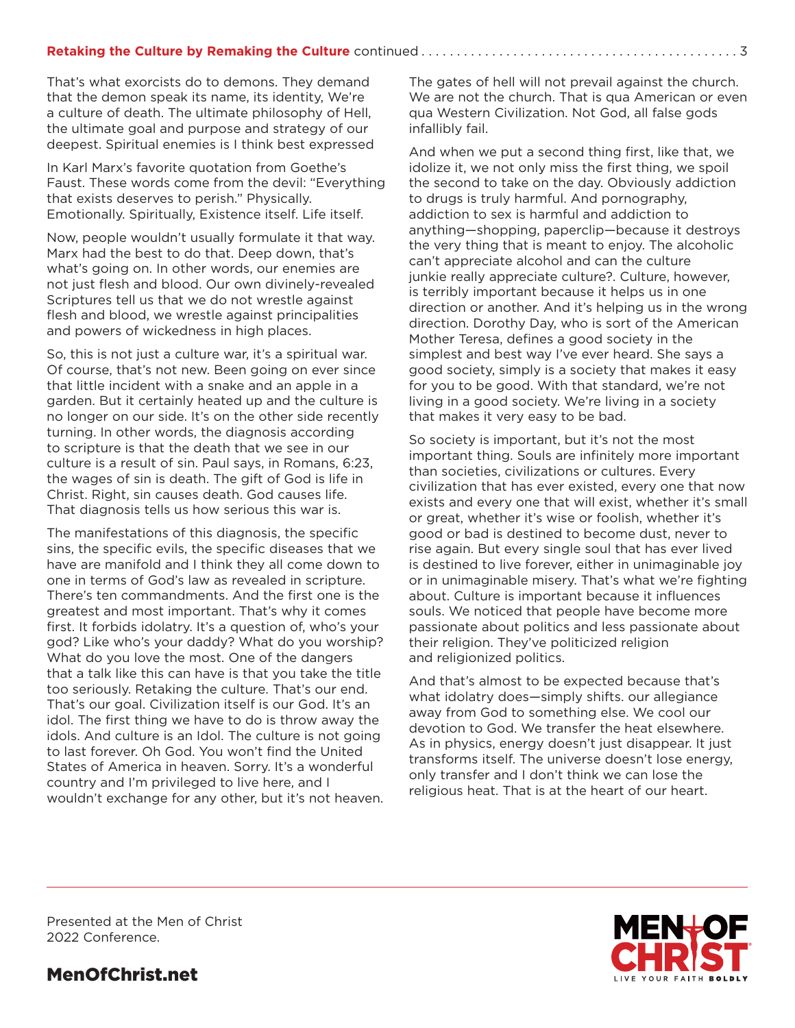#### **Retaking the Culture by Remaking the Culture** continued................................

That's what exorcists do to demons. They demand that the demon speak its name, its identity, We're a culture of death. The ultimate philosophy of Hell, the ultimate goal and purpose and strategy of our deepest. Spiritual enemies is I think best expressed

In Karl Marx's favorite quotation from Goethe's Faust. These words come from the devil: "Everything that exists deserves to perish." Physically. Emotionally. Spiritually, Existence itself. Life itself.

Now, people wouldn't usually formulate it that way. Marx had the best to do that. Deep down, that's what's going on. In other words, our enemies are not just flesh and blood. Our own divinely-revealed Scriptures tell us that we do not wrestle against flesh and blood, we wrestle against principalities and powers of wickedness in high places.

So, this is not just a culture war, it's a spiritual war. Of course, that's not new. Been going on ever since that little incident with a snake and an apple in a garden. But it certainly heated up and the culture is no longer on our side. It's on the other side recently turning. In other words, the diagnosis according to scripture is that the death that we see in our culture is a result of sin. Paul says, in Romans, 6:23, the wages of sin is death. The gift of God is life in Christ. Right, sin causes death. God causes life. That diagnosis tells us how serious this war is.

The manifestations of this diagnosis, the specific sins, the specific evils, the specific diseases that we have are manifold and I think they all come down to one in terms of God's law as revealed in scripture. There's ten commandments. And the first one is the greatest and most important. That's why it comes first. It forbids idolatry. It's a question of, who's your god? Like who's your daddy? What do you worship? What do you love the most. One of the dangers that a talk like this can have is that you take the title too seriously. Retaking the culture. That's our end. That's our goal. Civilization itself is our God. It's an idol. The first thing we have to do is throw away the idols. And culture is an Idol. The culture is not going to last forever. Oh God. You won't find the United States of America in heaven. Sorry. It's a wonderful country and I'm privileged to live here, and I wouldn't exchange for any other, but it's not heaven. The gates of hell will not prevail against the church. We are not the church. That is qua American or even qua Western Civilization. Not God, all false gods infallibly fail.

And when we put a second thing first, like that, we idolize it, we not only miss the first thing, we spoil the second to take on the day. Obviously addiction to drugs is truly harmful. And pornography, addiction to sex is harmful and addiction to anything—shopping, paperclip—because it destroys the very thing that is meant to enjoy. The alcoholic can't appreciate alcohol and can the culture junkie really appreciate culture?. Culture, however, is terribly important because it helps us in one direction or another. And it's helping us in the wrong direction. Dorothy Day, who is sort of the American Mother Teresa, defines a good society in the simplest and best way I've ever heard. She says a good society, simply is a society that makes it easy for you to be good. With that standard, we're not living in a good society. We're living in a society that makes it very easy to be bad.

So society is important, but it's not the most important thing. Souls are infinitely more important than societies, civilizations or cultures. Every civilization that has ever existed, every one that now exists and every one that will exist, whether it's small or great, whether it's wise or foolish, whether it's good or bad is destined to become dust, never to rise again. But every single soul that has ever lived is destined to live forever, either in unimaginable joy or in unimaginable misery. That's what we're fighting about. Culture is important because it influences souls. We noticed that people have become more passionate about politics and less passionate about their religion. They've politicized religion and religionized politics.

And that's almost to be expected because that's what idolatry does—simply shifts. our allegiance away from God to something else. We cool our devotion to God. We transfer the heat elsewhere. As in physics, energy doesn't just disappear. It just transforms itself. The universe doesn't lose energy, only transfer and I don't think we can lose the religious heat. That is at the heart of our heart.

Presented at the Men of Christ 2022 Conference.

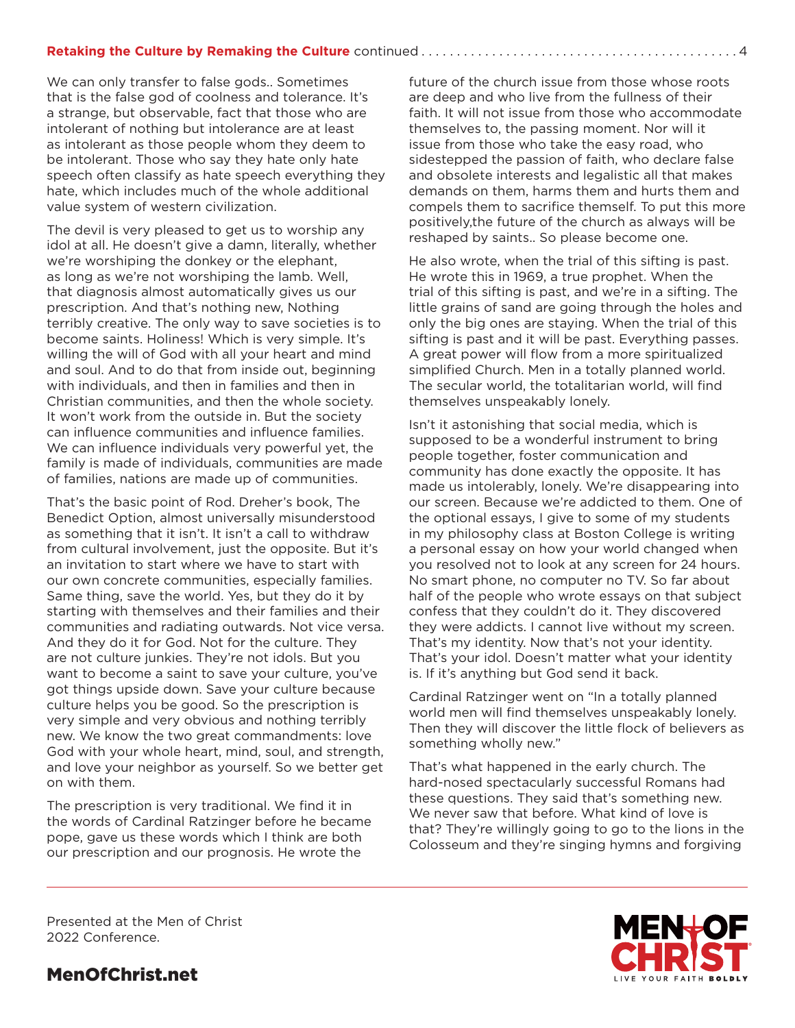#### **Retaking the Culture by Remaking the Culture** continued..............................

We can only transfer to false gods.. Sometimes that is the false god of coolness and tolerance. It's a strange, but observable, fact that those who are intolerant of nothing but intolerance are at least as intolerant as those people whom they deem to be intolerant. Those who say they hate only hate speech often classify as hate speech everything they hate, which includes much of the whole additional value system of western civilization.

The devil is very pleased to get us to worship any idol at all. He doesn't give a damn, literally, whether we're worshiping the donkey or the elephant, as long as we're not worshiping the lamb. Well, that diagnosis almost automatically gives us our prescription. And that's nothing new, Nothing terribly creative. The only way to save societies is to become saints. Holiness! Which is very simple. It's willing the will of God with all your heart and mind and soul. And to do that from inside out, beginning with individuals, and then in families and then in Christian communities, and then the whole society. It won't work from the outside in. But the society can influence communities and influence families. We can influence individuals very powerful yet, the family is made of individuals, communities are made of families, nations are made up of communities.

That's the basic point of Rod. Dreher's book, The Benedict Option, almost universally misunderstood as something that it isn't. It isn't a call to withdraw from cultural involvement, just the opposite. But it's an invitation to start where we have to start with our own concrete communities, especially families. Same thing, save the world. Yes, but they do it by starting with themselves and their families and their communities and radiating outwards. Not vice versa. And they do it for God. Not for the culture. They are not culture junkies. They're not idols. But you want to become a saint to save your culture, you've got things upside down. Save your culture because culture helps you be good. So the prescription is very simple and very obvious and nothing terribly new. We know the two great commandments: love God with your whole heart, mind, soul, and strength, and love your neighbor as yourself. So we better get on with them.

The prescription is very traditional. We find it in the words of Cardinal Ratzinger before he became pope, gave us these words which I think are both our prescription and our prognosis. He wrote the

future of the church issue from those whose roots are deep and who live from the fullness of their faith. It will not issue from those who accommodate themselves to, the passing moment. Nor will it issue from those who take the easy road, who sidestepped the passion of faith, who declare false and obsolete interests and legalistic all that makes demands on them, harms them and hurts them and compels them to sacrifice themself. To put this more positively,the future of the church as always will be reshaped by saints.. So please become one.

He also wrote, when the trial of this sifting is past. He wrote this in 1969, a true prophet. When the trial of this sifting is past, and we're in a sifting. The little grains of sand are going through the holes and only the big ones are staying. When the trial of this sifting is past and it will be past. Everything passes. A great power will flow from a more spiritualized simplified Church. Men in a totally planned world. The secular world, the totalitarian world, will find themselves unspeakably lonely.

Isn't it astonishing that social media, which is supposed to be a wonderful instrument to bring people together, foster communication and community has done exactly the opposite. It has made us intolerably, lonely. We're disappearing into our screen. Because we're addicted to them. One of the optional essays, I give to some of my students in my philosophy class at Boston College is writing a personal essay on how your world changed when you resolved not to look at any screen for 24 hours. No smart phone, no computer no TV. So far about half of the people who wrote essays on that subject confess that they couldn't do it. They discovered they were addicts. I cannot live without my screen. That's my identity. Now that's not your identity. That's your idol. Doesn't matter what your identity is. If it's anything but God send it back.

Cardinal Ratzinger went on "In a totally planned world men will find themselves unspeakably lonely. Then they will discover the little flock of believers as something wholly new."

That's what happened in the early church. The hard-nosed spectacularly successful Romans had these questions. They said that's something new. We never saw that before. What kind of love is that? They're willingly going to go to the lions in the Colosseum and they're singing hymns and forgiving

Presented at the Men of Christ 2022 Conference.